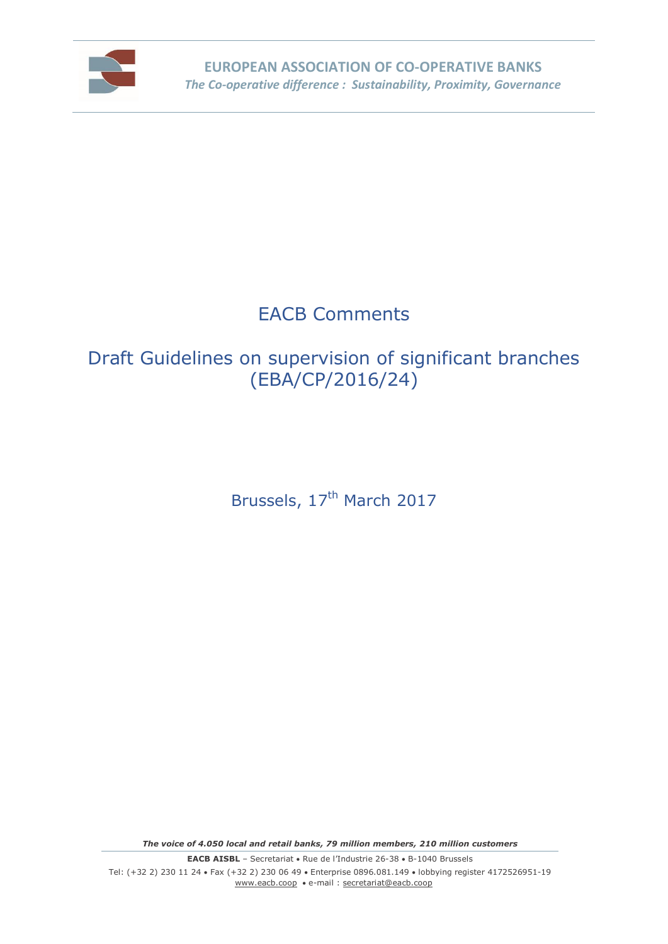

# EACB Comments

# Draft Guidelines on supervision of significant branches (EBA/CP/2016/24)

Brussels, 17<sup>th</sup> March 2017

*The voice of 4.050 local and retail banks, 79 million members, 210 million customers*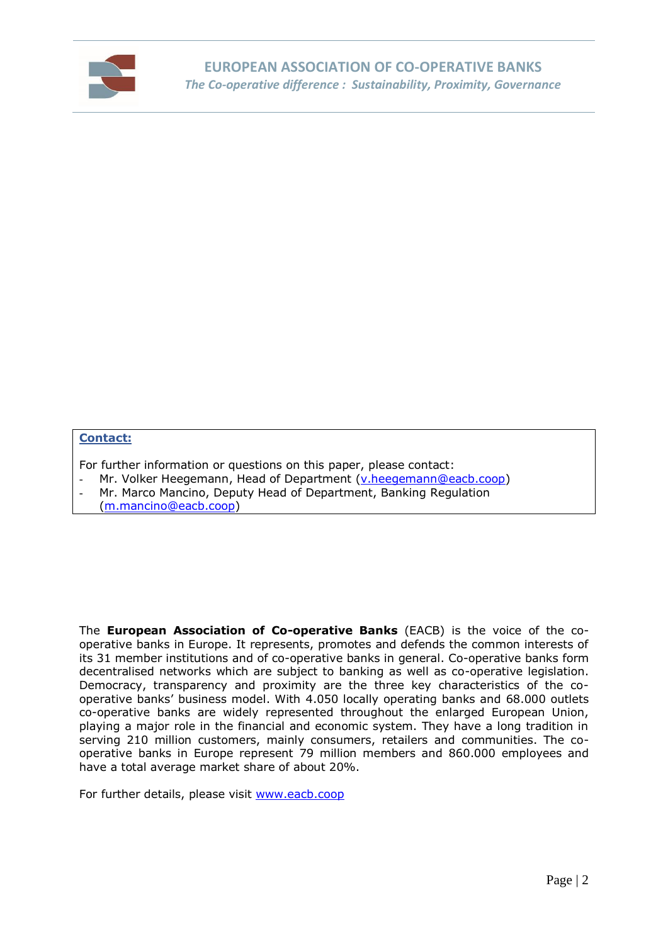

#### **Contact:**

For further information or questions on this paper, please contact:

- Mr. Volker Heegemann, Head of Department [\(v.heegemann@eacb.coop\)](mailto:v.heegemann@eacb.coop)
- Mr. Marco Mancino, Deputy Head of Department, Banking Regulation
- [\(m.mancino@eacb.coop\)](mailto:m.mancino@eacb.coop)

The **European Association of Co-operative Banks** (EACB) is the voice of the cooperative banks in Europe. It represents, promotes and defends the common interests of its 31 member institutions and of co-operative banks in general. Co-operative banks form decentralised networks which are subject to banking as well as co-operative legislation. Democracy, transparency and proximity are the three key characteristics of the cooperative banks' business model. With 4.050 locally operating banks and 68.000 outlets co-operative banks are widely represented throughout the enlarged European Union, playing a major role in the financial and economic system. They have a long tradition in serving 210 million customers, mainly consumers, retailers and communities. The cooperative banks in Europe represent 79 million members and 860.000 employees and have a total average market share of about 20%.

For further details, please visit [www.eacb.coop](http://www.eacb.coop/)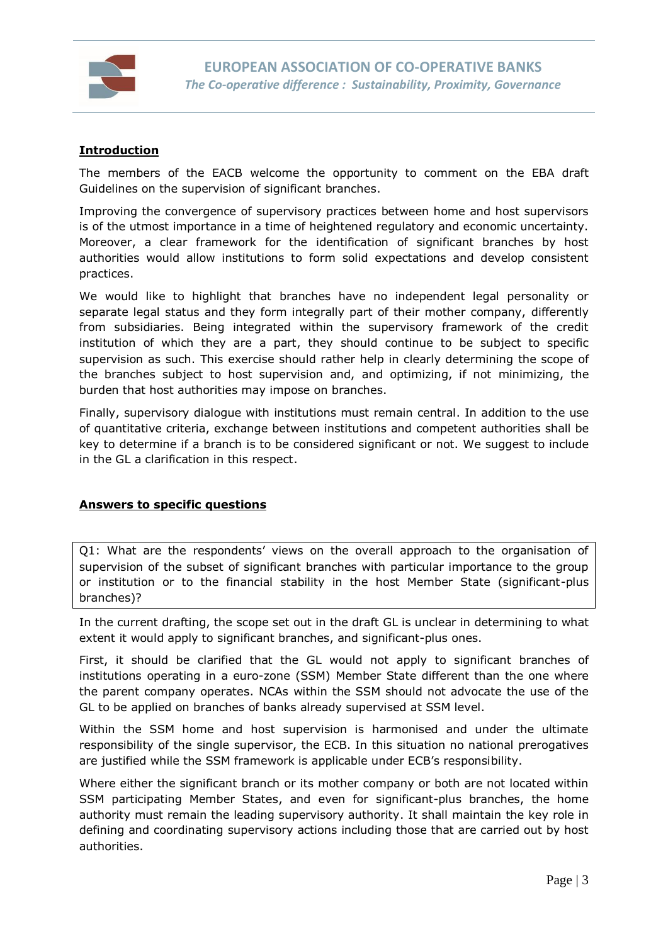

### **Introduction**

The members of the EACB welcome the opportunity to comment on the EBA draft Guidelines on the supervision of significant branches.

Improving the convergence of supervisory practices between home and host supervisors is of the utmost importance in a time of heightened regulatory and economic uncertainty. Moreover, a clear framework for the identification of significant branches by host authorities would allow institutions to form solid expectations and develop consistent practices.

We would like to highlight that branches have no independent legal personality or separate legal status and they form integrally part of their mother company, differently from subsidiaries. Being integrated within the supervisory framework of the credit institution of which they are a part, they should continue to be subject to specific supervision as such. This exercise should rather help in clearly determining the scope of the branches subject to host supervision and, and optimizing, if not minimizing, the burden that host authorities may impose on branches.

Finally, supervisory dialogue with institutions must remain central. In addition to the use of quantitative criteria, exchange between institutions and competent authorities shall be key to determine if a branch is to be considered significant or not. We suggest to include in the GL a clarification in this respect.

### **Answers to specific questions**

Q1: What are the respondents' views on the overall approach to the organisation of supervision of the subset of significant branches with particular importance to the group or institution or to the financial stability in the host Member State (significant-plus branches)?

In the current drafting, the scope set out in the draft GL is unclear in determining to what extent it would apply to significant branches, and significant-plus ones.

First, it should be clarified that the GL would not apply to significant branches of institutions operating in a euro-zone (SSM) Member State different than the one where the parent company operates. NCAs within the SSM should not advocate the use of the GL to be applied on branches of banks already supervised at SSM level.

Within the SSM home and host supervision is harmonised and under the ultimate responsibility of the single supervisor, the ECB. In this situation no national prerogatives are justified while the SSM framework is applicable under ECB's responsibility.

Where either the significant branch or its mother company or both are not located within SSM participating Member States, and even for significant-plus branches, the home authority must remain the leading supervisory authority. It shall maintain the key role in defining and coordinating supervisory actions including those that are carried out by host authorities.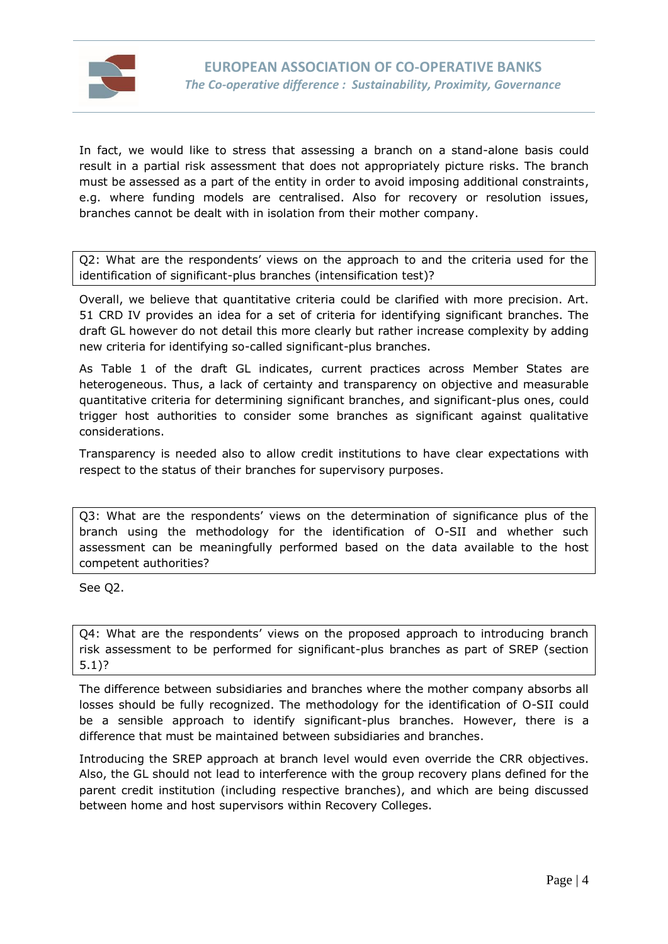

In fact, we would like to stress that assessing a branch on a stand-alone basis could result in a partial risk assessment that does not appropriately picture risks. The branch must be assessed as a part of the entity in order to avoid imposing additional constraints, e.g. where funding models are centralised. Also for recovery or resolution issues, branches cannot be dealt with in isolation from their mother company.

Q2: What are the respondents' views on the approach to and the criteria used for the identification of significant-plus branches (intensification test)?

Overall, we believe that quantitative criteria could be clarified with more precision. Art. 51 CRD IV provides an idea for a set of criteria for identifying significant branches. The draft GL however do not detail this more clearly but rather increase complexity by adding new criteria for identifying so-called significant-plus branches.

As Table 1 of the draft GL indicates, current practices across Member States are heterogeneous. Thus, a lack of certainty and transparency on objective and measurable quantitative criteria for determining significant branches, and significant-plus ones, could trigger host authorities to consider some branches as significant against qualitative considerations.

Transparency is needed also to allow credit institutions to have clear expectations with respect to the status of their branches for supervisory purposes.

Q3: What are the respondents' views on the determination of significance plus of the branch using the methodology for the identification of O-SII and whether such assessment can be meaningfully performed based on the data available to the host competent authorities?

See Q2.

Q4: What are the respondents' views on the proposed approach to introducing branch risk assessment to be performed for significant-plus branches as part of SREP (section 5.1)?

The difference between subsidiaries and branches where the mother company absorbs all losses should be fully recognized. The methodology for the identification of O-SII could be a sensible approach to identify significant-plus branches. However, there is a difference that must be maintained between subsidiaries and branches.

Introducing the SREP approach at branch level would even override the CRR objectives. Also, the GL should not lead to interference with the group recovery plans defined for the parent credit institution (including respective branches), and which are being discussed between home and host supervisors within Recovery Colleges.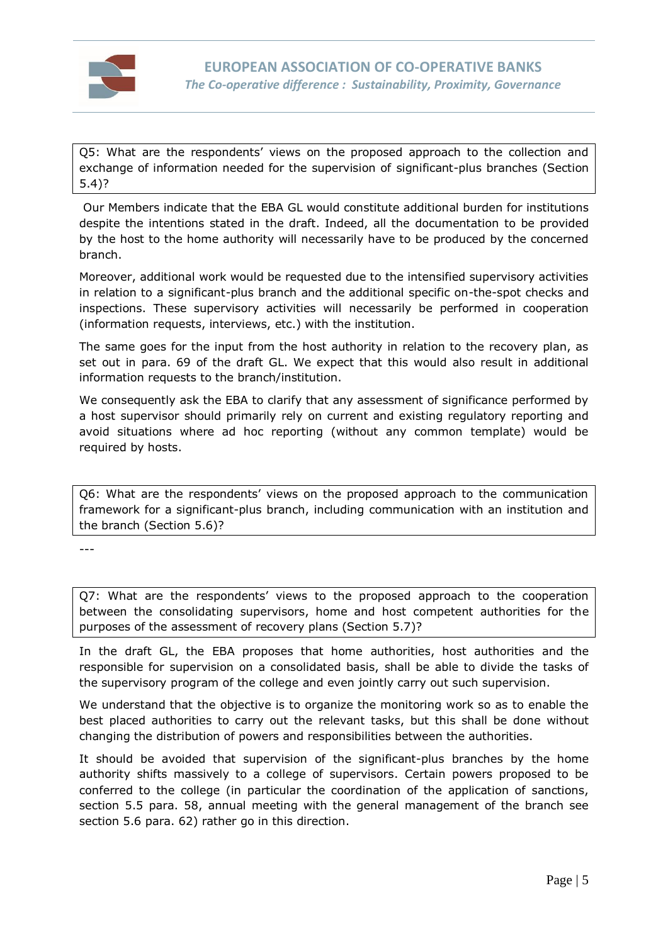

Q5: What are the respondents' views on the proposed approach to the collection and exchange of information needed for the supervision of significant-plus branches (Section 5.4)?

Our Members indicate that the EBA GL would constitute additional burden for institutions despite the intentions stated in the draft. Indeed, all the documentation to be provided by the host to the home authority will necessarily have to be produced by the concerned branch.

Moreover, additional work would be requested due to the intensified supervisory activities in relation to a significant-plus branch and the additional specific on-the-spot checks and inspections. These supervisory activities will necessarily be performed in cooperation (information requests, interviews, etc.) with the institution.

The same goes for the input from the host authority in relation to the recovery plan, as set out in para. 69 of the draft GL. We expect that this would also result in additional information requests to the branch/institution.

We consequently ask the EBA to clarify that any assessment of significance performed by a host supervisor should primarily rely on current and existing regulatory reporting and avoid situations where ad hoc reporting (without any common template) would be required by hosts.

Q6: What are the respondents' views on the proposed approach to the communication framework for a significant-plus branch, including communication with an institution and the branch (Section 5.6)?

---

Q7: What are the respondents' views to the proposed approach to the cooperation between the consolidating supervisors, home and host competent authorities for the purposes of the assessment of recovery plans (Section 5.7)?

In the draft GL, the EBA proposes that home authorities, host authorities and the responsible for supervision on a consolidated basis, shall be able to divide the tasks of the supervisory program of the college and even jointly carry out such supervision.

We understand that the objective is to organize the monitoring work so as to enable the best placed authorities to carry out the relevant tasks, but this shall be done without changing the distribution of powers and responsibilities between the authorities.

It should be avoided that supervision of the significant-plus branches by the home authority shifts massively to a college of supervisors. Certain powers proposed to be conferred to the college (in particular the coordination of the application of sanctions, section 5.5 para. 58, annual meeting with the general management of the branch see section 5.6 para. 62) rather go in this direction.